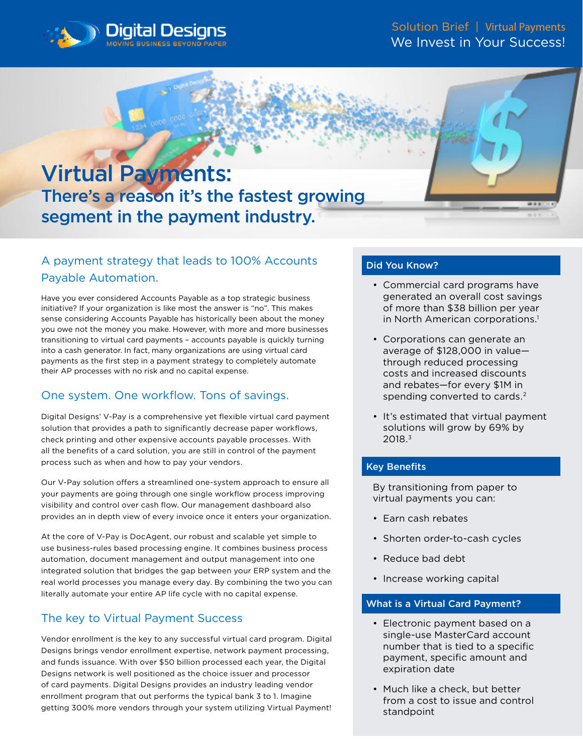



## A payment strategy that leads to 100% Accounts Payable Automation.

Have you ever considered Accounts Payable as a top strategic business initiative? If your organization is like most the answer is "no". This makes sense considering Accounts Payable has historically been about the money you owe not the money you make. However, with more and more businesses transitioning to virtual card payments – accounts payable is quickly turning into a cash generator. In fact, many organizations are using virtual card payments as the first step in a payment strategy to completely automate their AP processes with no risk and no capital expense.

## One system. One workflow. Tons of savings.

Digital Designs' V-Pay is a comprehensive yet flexible virtual card payment solution that provides a path to significantly decrease paper workflows, check printing and other expensive accounts payable processes. With all the benefits of a card solution, you are still in control of the payment process such as when and how to pay your vendors.

Our V-Pay solution offers a streamlined one-system approach to ensure all your payments are going through one single workflow process improving visibility and control over cash flow. Our management dashboard also provides an in depth view of every invoice once it enters your organization.

At the core of V-Pay is DocAgent, our robust and scalable yet simple to use business-rules based processing engine. It combines business process automation, document management and output management into one integrated solution that bridges the gap between your ERP system and the real world processes you manage every day. By combining the two you can literally automate your entire AP life cycle with no capital expense.

## The key to Virtual Payment Success

Vendor enrollment is the key to any successful virtual card program. Digital Designs brings vendor enrollment expertise, network payment processing, and funds issuance. With over \$50 billion processed each year, the Digital Designs network is well positioned as the choice issuer and processor of card payments. Digital Designs provides an industry leading vendor enrollment program that out performs the typical bank 3 to 1. Imagine getting 300% more vendors through your system utilizing Virtual Payment!

#### Did You Know?

- Commercial card programs have generated an overall cost savings of more than \$38 billion per year in North American corporations.<sup>1</sup>
- Corporations can generate an average of \$128,000 in value through reduced processing costs and increased discounts and rebates—for every \$1M in spending converted to cards.<sup>2</sup>
- It's estimated that virtual payment solutions will grow by 69% by 2018.3

### Key Benefits

By transitioning from paper to virtual payments you can:

- Earn cash rebates
- Shorten order-to-cash cycles
- Reduce bad debt
- Increase working capital

#### What is a Virtual Card Payment?

- Electronic payment based on a single-use MasterCard account number that is tied to a specific payment, specific amount and expiration date
- Much like a check, but better from a cost to issue and control standpoint